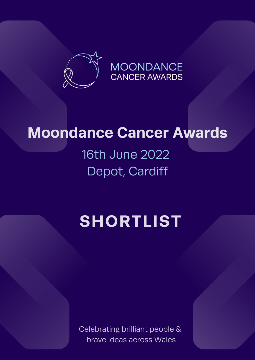

## **Moondance Cancer Awards**

16th June 2022 Depot, Cardiff

## **SHORTLIST**

Celebrating brilliant people & brave ideas across Wales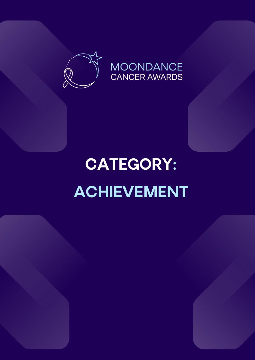

### **MOONDANCE CANCER AWARDS**

# CATEGORY: ACHIEVEMENT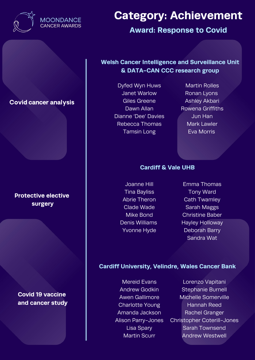

**Award: Response to Covid**

### **Welsh Cancer Intelligence and Surveillance Unit & DATA-CAN CCC research group**

Dyfed Wyn Huws Janet Warlow Giles Greene Dawn Allan Dianne 'Dee' Davies Rebecca Thomas Tamsin Long

Martin Rolles Ronan Lyons Ashley Akbari Rowena Griffiths Jun Han Mark Lawler Eva Morris

### **Cardiff & Vale UHB**

Joanne Hill Tina Bayliss Abrie Theron Clade Wade Mike Bond Denis Williams Yvonne Hyde

Emma Thomas Tony Ward Cath Twamley Sarah Maggs Christine Baber Hayley Holloway Deborah Barry Sandra Wat

#### **Cardiff University, Velindre, Wales Cancer Bank**

Mereid Evans Andrew Godkin Awen Gallimore Charlotte Young Amanda Jackson Alison Parry-Jones Lisa Spary Martin Scurr

Lorenzo Vapitani Stephanie Burnell Michelle Somerville Hannah Reed Rachel Granger Christopher Coterill-Jones Sarah Townsend Andrew Westwell

### Covid cancer analysis

### **Protective elective surgery**

**Covid 19 vaccine and cancer study**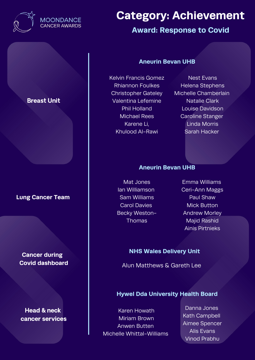

### Breast Unit

### **Lung Cancer Team**

### **Cancer during Covid dashboard**

Head & neck cancer services

### **Category: Achievement**

### **Award: Response to Covid**

#### **Aneurin Bevan UHB**

Kelvin Francis Gomez Rhiannon Foulkes Christopher Gateley Valentina Lefemine Phil Holland Michael Rees Karene Li, Khulood Al-Rawi

Nest Evans Helena Stephens Michelle Chamberlain Natalie Clark Louise Davidson Caroline Stanger Linda Morris Sarah Hacker

#### **Aneurin Bevan UHB**

Mat Jones Ian Williamson Sam Williams Carol Davies Becky Weston-Thomas

Emma Williams Ceri-Ann Maggs Paul Shaw Mick Button Andrew Morley Majid Rashid Ainis Pirtnieks

#### **NHS Wales Delivery Unit**

Alun Matthews & Gareth Lee

### **Hywel Dda University Health Board**

Karen Howath Miriam Brown Anwen Butten Michelle Whittal-Williams

Danna Jones Kath Campbell Aimee Spencer Alis Evans Vinod Prabhu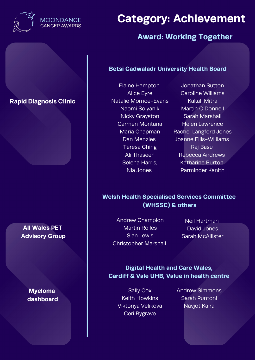

### **Award: Working Together**

### **Betsi Cadwaladr University Health Board**

### Rapid Diagnosis Clinic

**All Wales PET Advisory Group**

> **Myeloma dashboard**

Elaine Hampton Alice Eyre Natalie Morrice-Evans Naomi Solyanik Nicky Grayston Carmen Montana Maria Chapman Dan Menzies Teresa Ching Ali Thaseen Selena Harris, Nia Jones

Jonathan Sutton Caroline Williams Kakali Mitra Martin O'Donnell Sarah Marshall Helen Lawrence Rachel Langford Jones Joanne Ellis-Williams Raj Basu Rebecca Andrews Katharine Burton Parminder Kanith

### **Welsh Health Specialised Services Committee (WHSSC) & others**

Andrew Champion Martin Rolles Sian Lewis Christopher Marshall

Neil Hartman David Jones Sarah McAllister

**Digital Health and Care Wales, Cardiff & Vale UHB, Value in health centre**

Sally Cox Keith Howkins Viktoriya Velikova Ceri Bygrave

Andrew Simmons Sarah Puntoni Navjot Kaira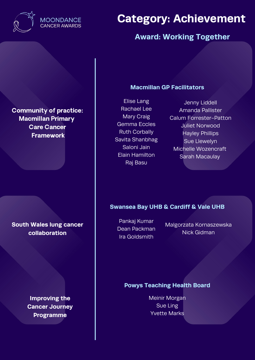

### **MOONDANCE CANCER AWARDS**

### **Category: Achievement**

### **Award: Working Together**

Community of practice: Macmillan Primary Care Cancer Framework

**South Wales lung cancer collaboration**

> **Improving the Cancer Journey Programme**

### **Macmillan GP Facilitators**

Elise Lang Rachael Lee Mary Craig Gemma Eccles Ruth Corbally Savita Shanbhag Saloni Jain Elain Hamilton Raj Basu

Jenny Liddell Amanda Pallister Calum Forrester-Patton Juliet Norwood Hayley Phillips Sue Llewelyn Michelle Wozencraft Sarah Macaulay

### **Swansea Bay UHB & Cardiff & Vale UHB**

Pankaj Kumar Dean Packman Ira Goldsmith

Malgorzata Kornaszewska Nick Gidman

#### **Powys Teaching Health Board**

Meinir Morgan Sue Ling Yvette Marks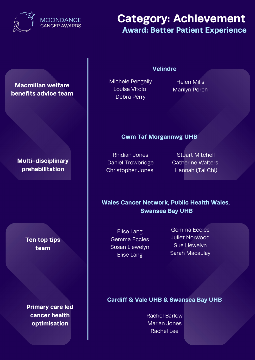

### **Category: Achievement Award: Better Patient Experience**

### Macmillan welfare benefits advice team

**Multi-disciplinary prehabilitation**

> **Ten top tips team**

**Primary care led cancer health optimisation**

Michele Pengelly Louisa Vitolo Debra Perry

### **Velindre**

Helen Mills Marilyn Porch

### **Cwm Taf Morgannwg UHB**

Rhidian Jones Daniel Trowbridge Christopher Jones

Stuart Mitchell Catherine Walters Hannah (Tai Chi)

**Wales Cancer Network, Public Health Wales, Swansea Bay UHB**

Elise Lang Gemma Eccles Susan Llewelyn Elise Lang

Gemma Eccles Juliet Norwood Sue Llewelyn Sarah Macaulay

### **Cardiff & Vale UHB & Swansea Bay UHB**

Rachel Barlow Marian Jones Rachel Lee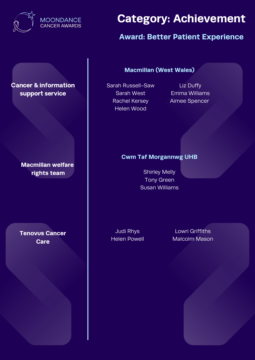

### **Award: Better Patient Experience**

Cancer & information support service

> **Macmillan welfare rights team** Shirley Melly

**Tenovus Cancer Care**

**Macmillan (West Wales)**

Sarah Russell-Saw Sarah West Rachel Kersey Helen Wood

Liz Duffy Emma Williams Aimee Spencer

### **Cwm Taf Morgannwg UHB**

Tony Green Susan Williams

Judi Rhys Helen Powell

Lowri Griffiths Malcolm Mason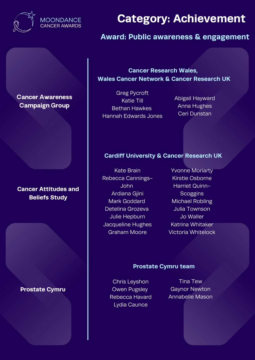

### **Award: Public awareness & engagement**

Cancer Awareness Campaign Group

### **Cancer Attitudes and Beliefs Study**

**Prostate Cymru**

**Cancer Research Wales, Wales Cancer Network & Cancer Research UK**

Greg Pycroft Katie Till Bethan Hawkes Hannah Edwards Jones

Abigail Hayward Anna Hughes Ceri Dunstan

### **Cardiff University & Cancer Research UK**

- Kate Brain Rebecca Cannings-John Ardiana Gjini Mark Goddard Detelina Grozeva Julie Hepburn Jacqueline Hughes Graham Moore
- Yvonne Moriarty Kirstie Osborne Harriet Quinn-**Scoggins** Michael Robling Julia Townson Jo Waller Katrina Whitaker Victoria Whitelock

#### **Prostate Cymru team**

Chris Leyshon Owen Pugsley Rebecca Havard Lydia Caunce

Tina Tew Gaynor Newton Annabelle Mason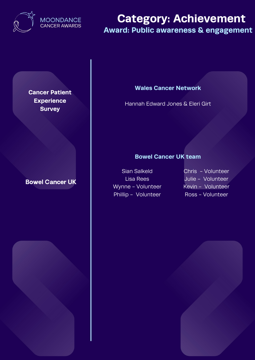

### **Category: Achievement Award: Public awareness & engagement**

**Cancer Patient Experience Survey**

### Bowel Cancer UK

### **Wales Cancer Network**

Hannah Edward Jones & Eleri Girt

### **Bowel Cancer UK team**

Sian Salkeld Lisa Rees Wynne - Volunteer Phillip - Volunteer

Chris - Volunteer Julie - Volunteer Kevin - Volunteer Ross - Volunteer

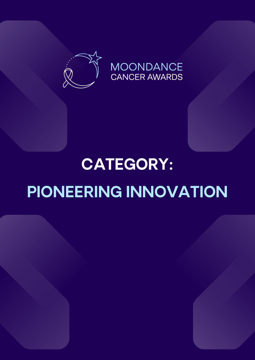

# CATEGORY: PIONEERING INNOVATION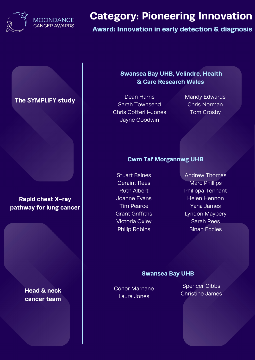

**Award: Innovation in early detection & diagnosis**

The SYMPLIFY study

### **Rapid chest X-ray pathway for lung cancer**

**Head & neck cancer team**

### **Swansea Bay UHB, Velindre, Health & Care Research Wales**

Dean Harris Sarah Townsend Chris Cotterill-Jones Jayne Goodwin

Mandy Edwards Chris Norman Tom Crosby

### **Cwm Taf Morgannwg UHB**

Stuart Baines Geraint Rees Ruth Albert Joanne Evans Tim Pearce Grant Griffiths Victoria Oxley Philip Robins

Andrew Thomas Marc Phillips Philippa Tennant Helen Hennon Yana James Lyndon Maybery Sarah Rees Sinan Eccles

#### **Swansea Bay UHB**

Conor Marnane Laura Jones

Spencer Gibbs Christine James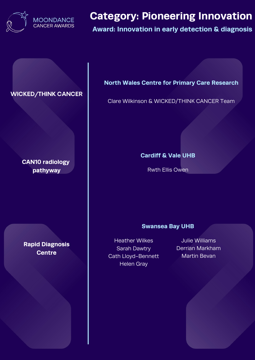

### **Award: Innovation in early detection & diagnosis**

### WICKED/THINK CANCER

**CAN10 radiology pathyway**

**Rapid Diagnosis Centre**

**North Wales Centre for Primary Care Research**

Clare Wilkinson & WICKED/THINK CANCER Team

### **Cardiff & Vale UHB**

Rwth Ellis Owen

#### **Swansea Bay UHB**

Heather Wilkes Sarah Dawtry Cath Lloyd-Bennett Helen Gray

Julie Williams Derrian Markham Martin Bevan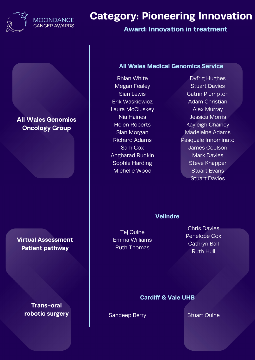

**Award: Innovation in treatment**

### All Wales Genomics Oncology Group

**Virtual Assessment Patient pathway**

> **Trans-oral robotic surgery**

#### **All Wales Medical Genomics Service**

Rhian White Megan Fealey Sian Lewis Erik Waskiewicz Laura McCluskey Nia Haines Helen Roberts Sian Morgan Richard Adams Sam Cox Angharad Rudkin Sophie Harding Michelle Wood

Dyfrig Hughes Stuart Davies Catrin Plumpton Adam Christian Alex Murray Jessica Morris Kayleigh Chainey Madeleine Adams Pasquale Innominato James Coulson Mark Davies Steve Knapper Stuart Evans Stuart Davies

#### **Velindre**

Tej Quine Emma Williams Ruth Thomas

Chris Davies Penelope Cox Cathryn Ball Ruth Hull

#### **Cardiff & Vale UHB**

Sandeep Berry Stuart Quine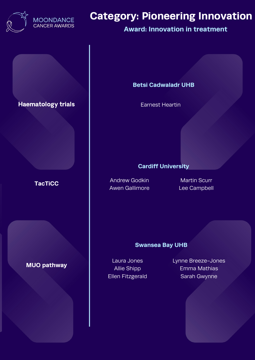

### **Award: Innovation in treatment**

### Haematology trials

### **TacTiCC**

### **MUO pathway**

#### **Betsi Cadwaladr UHB**

Earnest Heartin

#### **Cardiff University**

Andrew Godkin Awen Gallimore

Martin Scurr Lee Campbell

#### **Swansea Bay UHB**

Laura Jones Allie Shipp Ellen Fitzgerald Lynne Breeze-Jones Emma Mathias Sarah Gwynne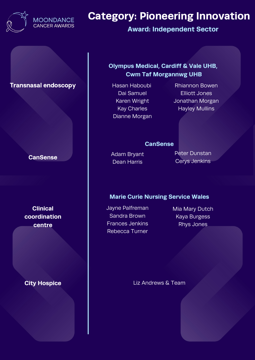

**Award: Independent Sector**

### **Transnasal endoscopy Assan Haboubi**

### **CanSense**

**Clinical coordination centre**

### **City Hospice**

### **Olympus Medical, Cardiff & Vale UHB, Cwm Taf Morgannwg UHB**

- Dai Samuel Karen Wright Kay Charles Dianne Morgan
- Rhiannon Bowen Elliott Jones Jonathan Morgan Hayley Mullins

#### **CanSense**

Adam Bryant Dean Harris

Peter Dunstan Cerys Jenkins

### **Marie Curie Nursing Service Wales**

- Jayne Palfreman Sandra Brown Frances Jenkins Rebecca Turner
- Mia Mary Dutch Kaya Burgess Rhys Jones

Liz Andrews & Team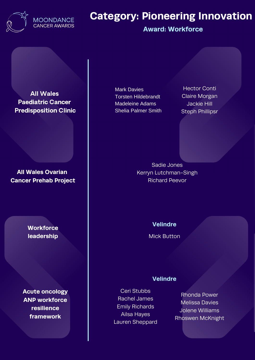

### **Award: Workforce**

All Wales Paediatric Cancer Predisposition Clinic

**All Wales Ovarian Cancer Prehab Project**

> **Workforce leadership**

**Acute oncology ANP workforce resilience framework**

Mark Davies Torsten Hildebrandt Madeleine Adams Shelia Palmer Smith

Hector Conti Claire Morgan Jackie Hill Steph Phillipsr

Sadie Jones Kerryn Lutchman-Singh Richard Peevor

**Velindre**

Mick Button

#### **Velindre**

Ceri Stubbs Rachel James Emily Richards Ailsa Hayes Lauren Sheppard

Rhonda Power Melissa Davies Jolene Williams Rhoswen McKnight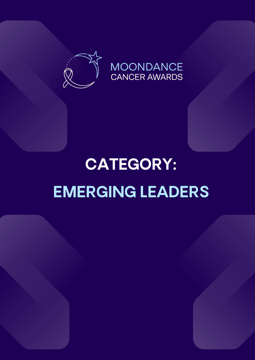

### **MOONDANCE CANCER AWARDS**

# CATEGORY: EMERGING LEADERS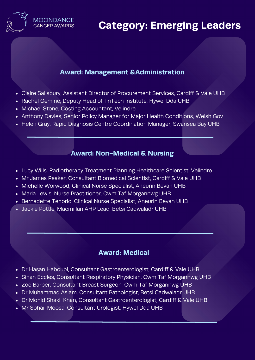

### **Category: Emerging Leaders**

### **Award: Management &Administration**

- Claire Salisbury, Assistant Director of Procurement Services, Cardiff & Vale UHB
- Rachel Gemine, Deputy Head of TriTech Institute, Hywel Dda UHB
- Michael Stone, Costing Accountant, Velindre
- Anthony Davies, Senior Policy Manager for Major Health Conditions, Welsh Gov
- Helen Gray, Rapid Diagnosis Centre Coordination Manager, Swansea Bay UHB

### **Award: Non-Medical & Nursing**

- Lucy Wills, Radiotherapy Treatment Planning Healthcare Scientist, Velindre
- Mr James Peaker, Consultant Biomedical Scientist, Cardiff & Vale UHB
- Michelle Worwood, Clinical Nurse Specialist, Aneurin Bevan UHB
- Maria Lewis, Nurse Practitioner, Cwm Taf Morgannwg UHB
- Bernadette Tenorio, Clinical Nurse Specialist, Aneurin Bevan UHB
- Jackie Pottle, Macmillan AHP Lead, Betsi Cadwaladr UHB

### **Award: Medical**

- Dr Hasan Haboubi, Consultant Gastroenterologist, Cardiff & Vale UHB
- Sinan Eccles, Consultant Respiratory Physician, Cwm Taf Morgannwg UHB
- Zoe Barber, Consultant Breast Surgeon, Cwm Taf Morgannwg UHB
- Dr Muhammad Aslam, Consultant Pathologist, Betsi Cadwaladr UHB
- Dr Mohid Shakil Khan, Consultant Gastroenterologist, Cardiff & Vale UHB
- Mr Sohail Moosa, Consultant Urologist, Hywel Dda UHB